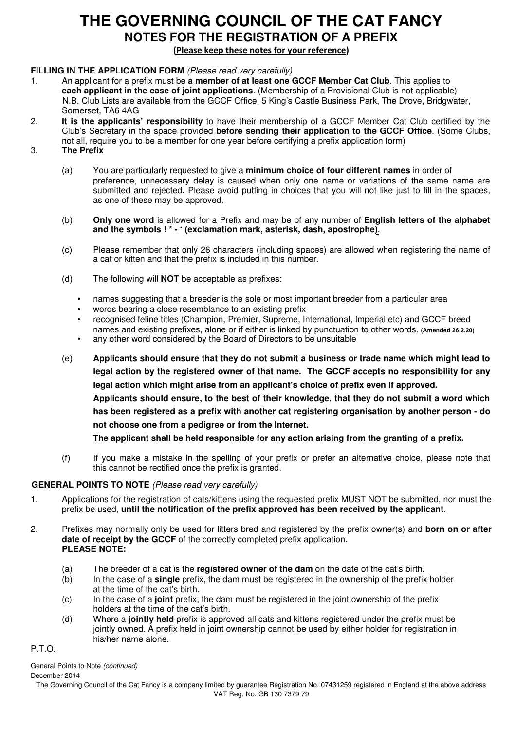# **THE GOVERNING COUNCIL OF THE CAT FANCY NOTES FOR THE REGISTRATION OF A PREFIX**

(Please keep these notes for your reference)

#### **FILLING IN THE APPLICATION FORM** (Please read very carefully)

- 1. An applicant for a prefix must be **a member of at least one GCCF Member Cat Club**. This applies to **each applicant in the case of joint applications**. (Membership of a Provisional Club is not applicable) N.B. Club Lists are available from the GCCF Office, 5 King's Castle Business Park, The Drove, Bridgwater, Somerset, TA6 4AG
- 2. **It is the applicants' responsibility** to have their membership of a GCCF Member Cat Club certified by the Club's Secretary in the space provided **before sending their application to the GCCF Office**. (Some Clubs, not all, require you to be a member for one year before certifying a prefix application form)
- 3. **The Prefix**
	- (a) You are particularly requested to give a **minimum choice of four different names** in order of preference, unnecessary delay is caused when only one name or variations of the same name are submitted and rejected. Please avoid putting in choices that you will not like just to fill in the spaces, as one of these may be approved.
	- (b) **Only one word** is allowed for a Prefix and may be of any number of **English letters of the alphabet and the symbols ! \* - ' (exclamation mark, asterisk, dash, apostrophe)**.
	- (c) Please remember that only 26 characters (including spaces) are allowed when registering the name of a cat or kitten and that the prefix is included in this number.
	- (d) The following will **NOT** be acceptable as prefixes:
		- names suggesting that a breeder is the sole or most important breeder from a particular area
		- words bearing a close resemblance to an existing prefix
		- recognised feline titles (Champion, Premier, Supreme, International, Imperial etc) and GCCF breed names and existing prefixes, alone or if either is linked by punctuation to other words. **(Amended 26.2.20)**
		- any other word considered by the Board of Directors to be unsuitable
	- (e) **Applicants should ensure that they do not submit a business or trade name which might lead to legal action by the registered owner of that name. The GCCF accepts no responsibility for any legal action which might arise from an applicant's choice of prefix even if approved. Applicants should ensure, to the best of their knowledge, that they do not submit a word which has been registered as a prefix with another cat registering organisation by another person - do not choose one from a pedigree or from the Internet. The applicant shall be held responsible for any action arising from the granting of a prefix.**
	- (f) If you make a mistake in the spelling of your prefix or prefer an alternative choice, please note that this cannot be rectified once the prefix is granted.

#### **GENERAL POINTS TO NOTE** (Please read very carefully)

- 1. Applications for the registration of cats/kittens using the requested prefix MUST NOT be submitted, nor must the prefix be used, **until the notification of the prefix approved has been received by the applicant**.
- 2. Prefixes may normally only be used for litters bred and registered by the prefix owner(s) and **born on or after date of receipt by the GCCF** of the correctly completed prefix application. **PLEASE NOTE:**
	- (a) The breeder of a cat is the **registered owner of the dam** on the date of the cat's birth.
	- (b) In the case of a **single** prefix, the dam must be registered in the ownership of the prefix holder at the time of the cat's birth.
	- (c) In the case of a **joint** prefix, the dam must be registered in the joint ownership of the prefix holders at the time of the cat's birth.
	- (d) Where a **jointly held** prefix is approved all cats and kittens registered under the prefix must be jointly owned. A prefix held in joint ownership cannot be used by either holder for registration in his/her name alone.

P.T.O.

December 2014 General Points to Note (continued)

The Governing Council of the Cat Fancy is a company limited by guarantee Registration No. 07431259 registered in England at the above address VAT Reg. No. GB 130 7379 79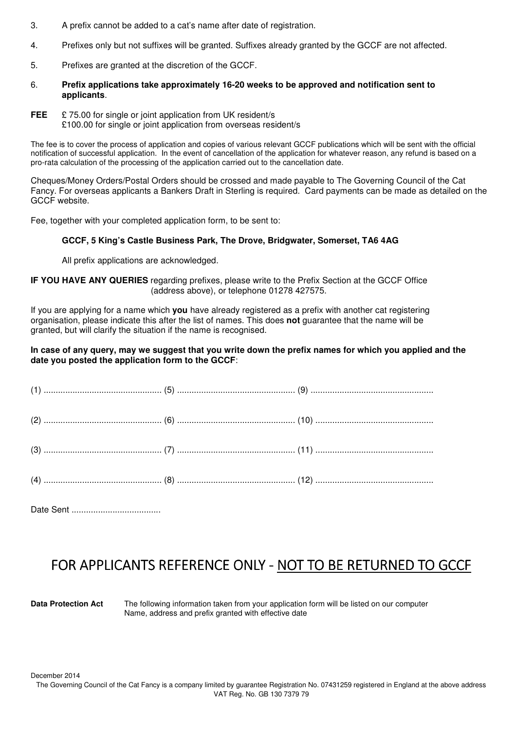- 3. A prefix cannot be added to a cat's name after date of registration.
- 4. Prefixes only but not suffixes will be granted. Suffixes already granted by the GCCF are not affected.
- 5. Prefixes are granted at the discretion of the GCCF.
- 6. **Prefix applications take approximately 16-20 weeks to be approved and notification sent to applicants**.
- **FEE** £ 75.00 for single or joint application from UK resident/s £100.00 for single or joint application from overseas resident/s

The fee is to cover the process of application and copies of various relevant GCCF publications which will be sent with the official notification of successful application. In the event of cancellation of the application for whatever reason, any refund is based on a pro-rata calculation of the processing of the application carried out to the cancellation date.

Cheques/Money Orders/Postal Orders should be crossed and made payable to The Governing Council of the Cat Fancy. For overseas applicants a Bankers Draft in Sterling is required. Card payments can be made as detailed on the GCCF website.

Fee, together with your completed application form, to be sent to:

#### **GCCF, 5 King's Castle Business Park, The Drove, Bridgwater, Somerset, TA6 4AG**

All prefix applications are acknowledged.

#### **IF YOU HAVE ANY QUERIES** regarding prefixes, please write to the Prefix Section at the GCCF Office (address above), or telephone 01278 427575.

If you are applying for a name which **you** have already registered as a prefix with another cat registering organisation, please indicate this after the list of names. This does **not** guarantee that the name will be granted, but will clarify the situation if the name is recognised.

#### **In case of any query, may we suggest that you write down the prefix names for which you applied and the date you posted the application form to the GCCF**:

Date Sent .....................................

## FOR APPLICANTS REFERENCE ONLY - NOT TO BE RETURNED TO GCCF

**Data Protection Act** The following information taken from your application form will be listed on our computer Name, address and prefix granted with effective date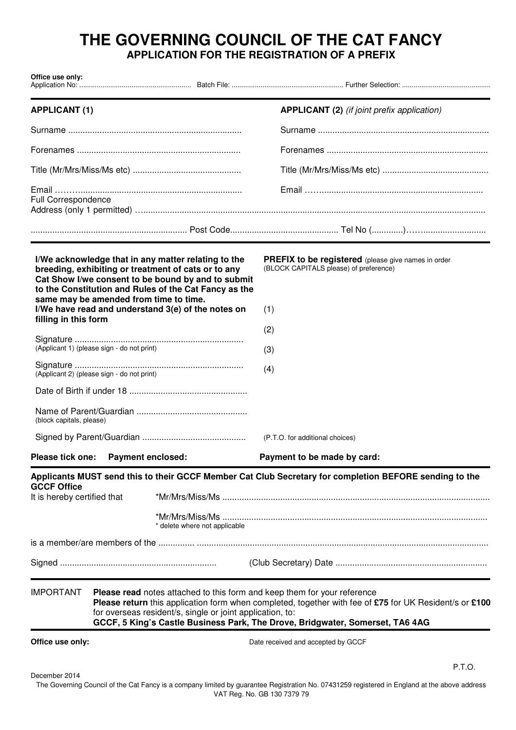### **THE GOVERNING COUNCIL OF THE CAT FANCY APPLICATION FOR THE REGISTRATION OF A PREFIX**

| Office use only:                                  |                                                                                                                                                                                                                                                                                                                                  |                                                                                                                                                                                                                                                                                 |                                                                                                             |
|---------------------------------------------------|----------------------------------------------------------------------------------------------------------------------------------------------------------------------------------------------------------------------------------------------------------------------------------------------------------------------------------|---------------------------------------------------------------------------------------------------------------------------------------------------------------------------------------------------------------------------------------------------------------------------------|-------------------------------------------------------------------------------------------------------------|
| <b>APPLICANT (1)</b>                              |                                                                                                                                                                                                                                                                                                                                  |                                                                                                                                                                                                                                                                                 | <b>APPLICANT (2)</b> (if joint prefix application)                                                          |
|                                                   |                                                                                                                                                                                                                                                                                                                                  |                                                                                                                                                                                                                                                                                 |                                                                                                             |
|                                                   |                                                                                                                                                                                                                                                                                                                                  |                                                                                                                                                                                                                                                                                 |                                                                                                             |
|                                                   |                                                                                                                                                                                                                                                                                                                                  |                                                                                                                                                                                                                                                                                 |                                                                                                             |
| Full Correspondence                               |                                                                                                                                                                                                                                                                                                                                  |                                                                                                                                                                                                                                                                                 |                                                                                                             |
|                                                   |                                                                                                                                                                                                                                                                                                                                  |                                                                                                                                                                                                                                                                                 |                                                                                                             |
|                                                   | same may be amended from time to time.                                                                                                                                                                                                                                                                                           | I/We acknowledge that in any matter relating to the<br>breeding, exhibiting or treatment of cats or to any<br>Cat Show I/we consent to be bound by and to submit<br>to the Constitution and Rules of the Cat Fancy as the<br>I/We have read and understand 3(e) of the notes on | <b>PREFIX to be registered</b> (please give names in order<br>(BLOCK CAPITALS please) of preference)<br>(1) |
| filling in this form                              |                                                                                                                                                                                                                                                                                                                                  |                                                                                                                                                                                                                                                                                 | (2)                                                                                                         |
|                                                   | (Applicant 1) (please sign - do not print)                                                                                                                                                                                                                                                                                       |                                                                                                                                                                                                                                                                                 | (3)                                                                                                         |
|                                                   | (Applicant 2) (please sign - do not print)                                                                                                                                                                                                                                                                                       |                                                                                                                                                                                                                                                                                 | (4)                                                                                                         |
|                                                   |                                                                                                                                                                                                                                                                                                                                  |                                                                                                                                                                                                                                                                                 |                                                                                                             |
| (block capitals, please)                          |                                                                                                                                                                                                                                                                                                                                  |                                                                                                                                                                                                                                                                                 |                                                                                                             |
|                                                   |                                                                                                                                                                                                                                                                                                                                  |                                                                                                                                                                                                                                                                                 | (P.T.O. for additional choices)                                                                             |
| Please tick one:                                  | <b>Payment enclosed:</b>                                                                                                                                                                                                                                                                                                         |                                                                                                                                                                                                                                                                                 | Payment to be made by card:                                                                                 |
| <b>GCCF Office</b><br>It is hereby certified that |                                                                                                                                                                                                                                                                                                                                  | * delete where not applicable                                                                                                                                                                                                                                                   | Applicants MUST send this to their GCCF Member Cat Club Secretary for completion BEFORE sending to the      |
|                                                   |                                                                                                                                                                                                                                                                                                                                  |                                                                                                                                                                                                                                                                                 |                                                                                                             |
|                                                   |                                                                                                                                                                                                                                                                                                                                  |                                                                                                                                                                                                                                                                                 |                                                                                                             |
| <b>IMPORTANT</b>                                  | Please read notes attached to this form and keep them for your reference<br>Please return this application form when completed, together with fee of £75 for UK Resident/s or £100<br>for overseas resident/s, single or joint application, to:<br>GCCF, 5 King's Castle Business Park, The Drove, Bridgwater, Somerset, TA6 4AG |                                                                                                                                                                                                                                                                                 |                                                                                                             |
| Office use only:                                  |                                                                                                                                                                                                                                                                                                                                  |                                                                                                                                                                                                                                                                                 | Date received and accepted by GCCF                                                                          |

December 2014